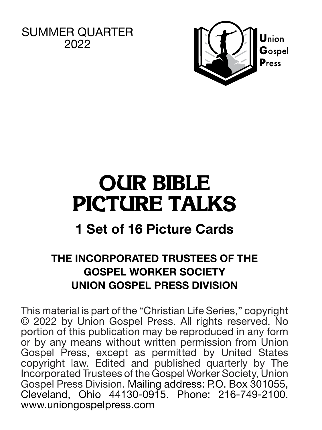SUMMER OUARTER 2022



# **OUR BIBLE PICTURE TALKS**

# **1 Set of 16 Picture Cards**

## **THE INCORPORATED TRUSTEES OF THE GOSPEL WORKER SOCIETY UNION GOSPEL PRESS DIVISION**

This material is part of the "Christian Life Series," copyright © 2022 by Union Gospel Press. All rights reserved. No portion of this publication may be reproduced in any form or by any means without written permission from Union Gospel Press, except as permitted by United States copyright law. Edited and published quarterly by The Incorporated Trustees of the Gospel Worker Society, Union Gospel Press Division. Mailing address: P.O. Box 301055, Cleveland, Ohio 44130-0915. Phone: 216-749-2100. www.uniongospelpress.com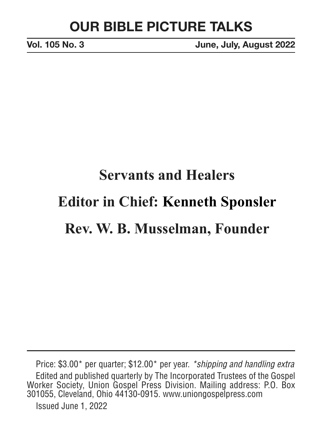**Vol. 105 No. 3 June, July, August 2022**

# **Servants and Healers Editor in Chief: Kenneth Sponsler Rev. W. B. Musselman, Founder**

Price: \$3.00\* per quarter; \$12.00\* per year. *\*shipping and handling extra* Edited and published quarterly by The Incorporated Trustees of the Gospel Worker Society, Union Gospel Press Division. Mailing address: P.O. Box 301055, Cleveland, Ohio 44130-0915. www.uniongospelpress.com Issued June 1, 2022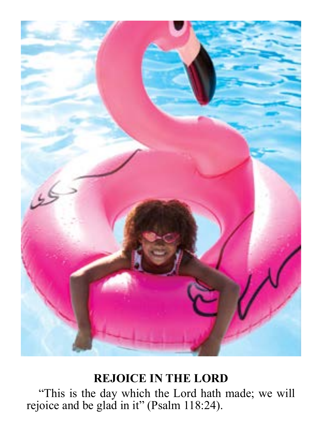

#### **REJOICE IN THE LORD**

"This is the day which the Lord hath made; we will rejoice and be glad in it" (Psalm 118:24).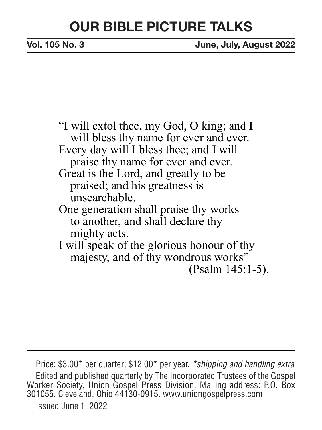**Vol. 105 No. 3 June, July, August 2022**

"I will extol thee, my God, O king; and I will bless thy name for ever and ever. Every day will I bless thee; and I will praise thy name for ever and ever. Great is the Lord, and greatly to be praised; and his greatness is unsearchable. One generation shall praise thy works to another, and shall declare thy mighty acts. I will speak of the glorious honour of thy majesty, and of thy wondrous works"

(Psalm 145:1-5).

Price: \$3.00\* per quarter; \$12.00\* per year. *\*shipping and handling extra* Edited and published quarterly by The Incorporated Trustees of the Gospel Worker Society, Union Gospel Press Division. Mailing address: P.O. Box 301055, Cleveland, Ohio 44130-0915. www.uniongospelpress.com Issued June 1, 2022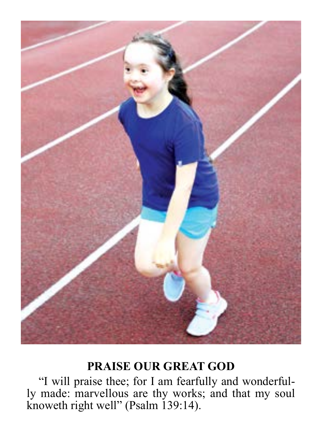

## **PRAISE OUR GREAT GOD**

"I will praise thee; for I am fearfully and wonderfully made: marvellous are thy works; and that my soul knoweth right well" (Psalm 139:14).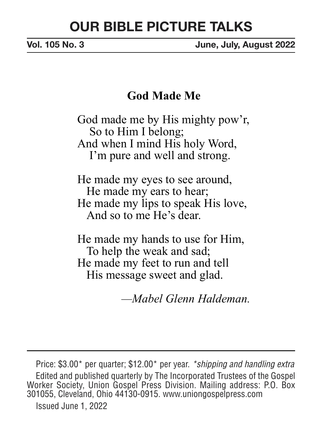**Vol. 105 No. 3 June, July, August 2022**

#### **God Made Me**

God made me by His mighty pow'r, So to Him I belong; And when I mind His holy Word, I'm pure and well and strong.

He made my eyes to see around, He made my ears to hear; He made my lips to speak His love, And so to me He's dear.

He made my hands to use for Him, To help the weak and sad; He made my feet to run and tell His message sweet and glad.

*—Mabel Glenn Haldeman.*

Price: \$3.00\* per quarter; \$12.00\* per year. *\*shipping and handling extra* Edited and published quarterly by The Incorporated Trustees of the Gospel Worker Society, Union Gospel Press Division. Mailing address: P.O. Box 301055, Cleveland, Ohio 44130-0915. www.uniongospelpress.com Issued June 1, 2022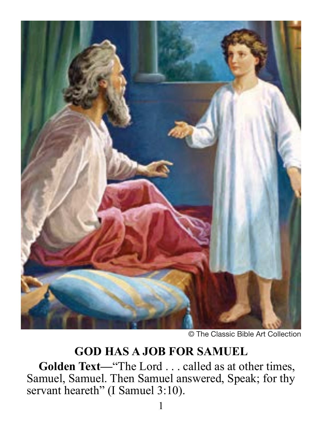

© The Classic Bible Art Collection

## **GOD HAS A JOB FOR SAMUEL**

**Golden Text—**"The Lord . . . called as at other times, Samuel, Samuel. Then Samuel answered, Speak; for thy servant heareth" (I Samuel 3:10).